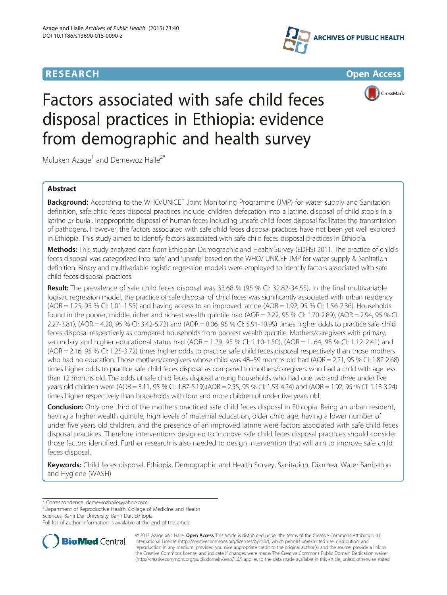





# Factors associated with safe child feces disposal practices in Ethiopia: evidence from demographic and health survey

Muluken Azage<sup>1</sup> and Demewoz Haile<sup>2\*</sup>

# Abstract

**Background:** According to the WHO/UNICEF Joint Monitoring Programme (JMP) for water supply and Sanitation definition, safe child feces disposal practices include: children defecation into a latrine, disposal of child stools in a latrine or burial. Inappropriate disposal of human feces including unsafe child feces disposal facilitates the transmission of pathogens. However, the factors associated with safe child feces disposal practices have not been yet well explored in Ethiopia. This study aimed to identify factors associated with safe child feces disposal practices in Ethiopia.

Methods: This study analyzed data from Ethiopian Demographic and Health Survey (EDHS) 2011. The practice of child's feces disposal was categorized into 'safe' and 'unsafe' based on the WHO/ UNICEF JMP for water supply & Sanitation definition. Binary and multivariable logistic regression models were employed to identify factors associated with safe child feces disposal practices.

Result: The prevalence of safe child feces disposal was 33.68 % (95 % CI: 32.82-34.55). In the final multivariable logistic regression model, the practice of safe disposal of child feces was significantly associated with urban residency  $(AOR = 1.25, 95 % CI: 1.01-1.55)$  and having access to an improved latrine  $(AOR = 1.92, 95 % CI: 1.56-2.36)$ . Households found in the poorer, middle, richer and richest wealth quintile had (AOR = 2.22, 95 % CI: 1.70-2.89), (AOR = 2.94, 95 % CI: 2.27-3.81), (AOR = 4.20, 95 % CI: 3.42-5.72) and (AOR = 8.06, 95 % CI: 5.91-10.99) times higher odds to practice safe child feces disposal respectively as compared households from poorest wealth quintile. Mothers/caregivers with primary, secondary and higher educational status had (AOR = 1.29, 95 % CI: 1.10-1.50), (AOR = 1. 64, 95 % CI: 1.12-2.41) and (AOR = 2.16, 95 % CI: 1.25-3.72) times higher odds to practice safe child feces disposal respectively than those mothers who had no education. Those mothers/caregivers whose child was 48–59 months old had (AOR = 2.21, 95 % CI: 1.82-2.68) times higher odds to practice safe child feces disposal as compared to mothers/caregivers who had a child with age less than 12 months old. The odds of safe child feces disposal among households who had one two and three under five years old children were (AOR = 3.11, 95 % CI: 1.87-5.19),(AOR = 2.55, 95 % CI: 1.53-4.24) and (AOR = 1.92, 95 % CI: 1.13-3.24) times higher respectively than households with four and more children of under five years old.

**Conclusion:** Only one third of the mothers practiced safe child feces disposal in Ethiopia. Being an urban resident, having a higher wealth quintile, high levels of maternal education, older child age, having a lower number of under five years old children, and the presence of an improved latrine were factors associated with safe child feces disposal practices. Therefore interventions designed to improve safe child feces disposal practices should consider those factors identified. Further research is also needed to design intervention that will aim to improve safe child feces disposal.

Keywords: Child feces disposal, Ethiopia, Demographic and Health Survey, Sanitation, Diarrhea, Water Sanitation and Hygiene (WASH)

\* Correspondence: [demewozhaile@yahoo.com](mailto:demewozhaile@yahoo.com) <sup>2</sup>

<sup>2</sup>Department of Reproductive Health, College of Medicine and Health Sciences, Bahir Dar University, Bahir Dar, Ethiopia

Full list of author information is available at the end of the article



© 2015 Azage and Haile. Open Access This article is distributed under the terms of the Creative Commons Attribution 4.0 International License [\(http://creativecommons.org/licenses/by/4.0/](http://creativecommons.org/licenses/by/4.0/)), which permits unrestricted use, distribution, and reproduction in any medium, provided you give appropriate credit to the original author(s) and the source, provide a link to the Creative Commons license, and indicate if changes were made. The Creative Commons Public Domain Dedication waiver [\(http://creativecommons.org/publicdomain/zero/1.0/](http://creativecommons.org/publicdomain/zero/1.0/)) applies to the data made available in this article, unless otherwise stated.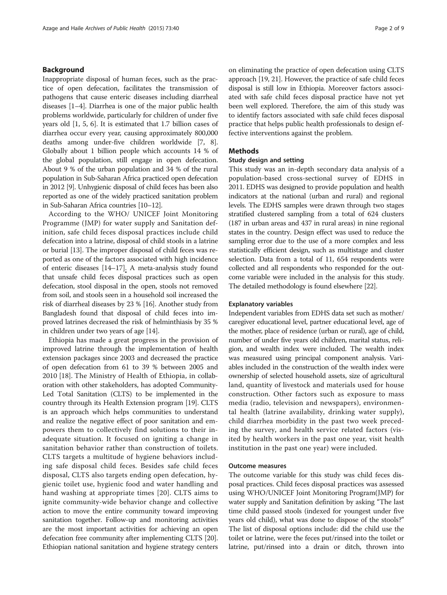## Background

Inappropriate disposal of human feces, such as the practice of open defecation, facilitates the transmission of pathogens that cause enteric diseases including diarrheal diseases [[1](#page-6-0)–[4](#page-7-0)]. Diarrhea is one of the major public health problems worldwide, particularly for children of under five years old [[1](#page-6-0), [5, 6](#page-7-0)]. It is estimated that 1.7 billion cases of diarrhea occur every year, causing approximately 800,000 deaths among under-five children worldwide [\[7, 8](#page-7-0)]. Globally about 1 billion people which accounts 14 % of the global population, still engage in open defecation. About 9 % of the urban population and 34 % of the rural population in Sub-Saharan Africa practiced open defecation in 2012 [[9](#page-7-0)]. Unhygienic disposal of child feces has been also reported as one of the widely practiced sanitation problem in Sub-Saharan Africa countries [\[10](#page-7-0)–[12\]](#page-7-0).

According to the WHO/ UNICEF Joint Monitoring Programme (JMP) for water supply and Sanitation definition, safe child feces disposal practices include child defecation into a latrine, disposal of child stools in a latrine or burial [[13](#page-7-0)]. The improper disposal of child feces was reported as one of the factors associated with high incidence of enteric diseases [[14](#page-7-0)–[17\]](#page-7-0). A meta-analysis study found that unsafe child feces disposal practices such as open defecation, stool disposal in the open, stools not removed from soil, and stools seen in a household soil increased the risk of diarrheal diseases by 23 % [[16](#page-7-0)]. Another study from Bangladesh found that disposal of child feces into improved latrines decreased the risk of helminthiasis by 35 % in children under two years of age [[14](#page-7-0)].

Ethiopia has made a great progress in the provision of improved latrine through the implementation of health extension packages since 2003 and decreased the practice of open defecation from 61 to 39 % between 2005 and 2010 [[18](#page-7-0)]. The Ministry of Health of Ethiopia, in collaboration with other stakeholders, has adopted Community-Led Total Sanitation (CLTS) to be implemented in the country through its Health Extension program [\[19\]](#page-7-0). CLTS is an approach which helps communities to understand and realize the negative effect of poor sanitation and empowers them to collectively find solutions to their inadequate situation. It focused on igniting a change in sanitation behavior rather than construction of toilets. CLTS targets a multitude of hygiene behaviors including safe disposal child feces. Besides safe child feces disposal, CLTS also targets ending open defecation, hygienic toilet use, hygienic food and water handling and hand washing at appropriate times [[20\]](#page-7-0). CLTS aims to ignite community-wide behavior change and collective action to move the entire community toward improving sanitation together. Follow-up and monitoring activities are the most important activities for achieving an open defecation free community after implementing CLTS [[20](#page-7-0)]. Ethiopian national sanitation and hygiene strategy centers

on eliminating the practice of open defecation using CLTS approach [\[19](#page-7-0), [21](#page-7-0)]. However, the practice of safe child feces disposal is still low in Ethiopia. Moreover factors associated with safe child feces disposal practice have not yet been well explored. Therefore, the aim of this study was to identify factors associated with safe child feces disposal practice that helps public health professionals to design effective interventions against the problem.

# **Methods**

## Study design and setting

This study was an in-depth secondary data analysis of a population-based cross-sectional survey of EDHS in 2011. EDHS was designed to provide population and health indicators at the national (urban and rural) and regional levels. The EDHS samples were drawn through two stages stratified clustered sampling from a total of 624 clusters (187 in urban areas and 437 in rural areas) in nine regional states in the country. Design effect was used to reduce the sampling error due to the use of a more complex and less statistically efficient design, such as multistage and cluster selection. Data from a total of 11, 654 respondents were collected and all respondents who responded for the outcome variable were included in the analysis for this study. The detailed methodology is found elsewhere [[22\]](#page-7-0).

## Explanatory variables

Independent variables from EDHS data set such as mother/ caregiver educational level, partner educational level, age of the mother, place of residence (urban or rural), age of child, number of under five years old children, marital status, religion, and wealth index were included. The wealth index was measured using principal component analysis. Variables included in the construction of the wealth index were ownership of selected household assets, size of agricultural land, quantity of livestock and materials used for house construction. Other factors such as exposure to mass media (radio, television and newspapers), environmental health (latrine availability, drinking water supply), child diarrhea morbidity in the past two week preceding the survey, and health service related factors (visited by health workers in the past one year, visit health institution in the past one year) were included.

## Outcome measures

The outcome variable for this study was child feces disposal practices. Child feces disposal practices was assessed using WHO/UNICEF Joint Monitoring Program(JMP) for water supply and Sanitation definition by asking "The last time child passed stools (indexed for youngest under five years old child), what was done to dispose of the stools?" The list of disposal options include: did the child use the toilet or latrine, were the feces put/rinsed into the toilet or latrine, put/rinsed into a drain or ditch, thrown into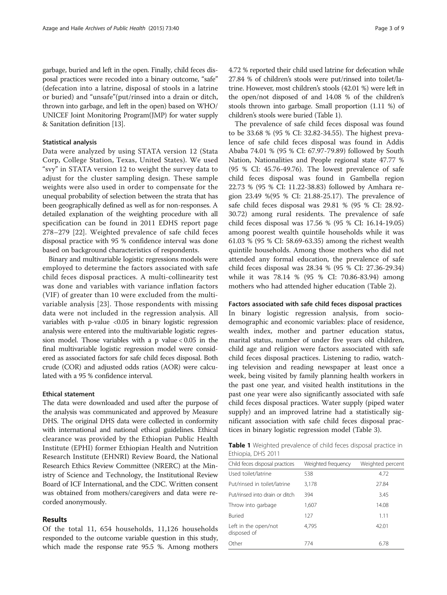garbage, buried and left in the open. Finally, child feces disposal practices were recoded into a binary outcome, "safe" (defecation into a latrine, disposal of stools in a latrine or buried) and "unsafe"(put/rinsed into a drain or ditch, thrown into garbage, and left in the open) based on WHO/ UNICEF Joint Monitoring Program(JMP) for water supply & Sanitation definition [\[13\]](#page-7-0).

## Statistical analysis

Data were analyzed by using STATA version 12 (Stata Corp, College Station, Texas, United States). We used "svy" in STATA version 12 to weight the survey data to adjust for the cluster sampling design. These sample weights were also used in order to compensate for the unequal probability of selection between the strata that has been geographically defined as well as for non-responses. A detailed explanation of the weighting procedure with all specification can be found in 2011 EDHS report page 278–279 [\[22](#page-7-0)]. Weighted prevalence of safe child feces disposal practice with 95 % confidence interval was done based on background characteristics of respondents.

Binary and multivariable logistic regressions models were employed to determine the factors associated with safe child feces disposal practices. A multi-collinearity test was done and variables with variance inflation factors (VIF) of greater than 10 were excluded from the multivariable analysis [[23\]](#page-7-0). Those respondents with missing data were not included in the regression analysis. All variables with p-value <0.05 in binary logistic regression analysis were entered into the multivariable logistic regression model. Those variables with a p value < 0.05 in the final multivariable logistic regression model were considered as associated factors for safe child feces disposal. Both crude (COR) and adjusted odds ratios (AOR) were calculated with a 95 % confidence interval.

## Ethical statement

The data were downloaded and used after the purpose of the analysis was communicated and approved by Measure DHS. The original DHS data were collected in conformity with international and national ethical guidelines. Ethical clearance was provided by the Ethiopian Public Health Institute (EPHI) former Ethiopian Health and Nutrition Research Institute (EHNRI) Review Board, the National Research Ethics Review Committee (NRERC) at the Ministry of Science and Technology, the Institutional Review Board of ICF International, and the CDC. Written consent was obtained from mothers/caregivers and data were recorded anonymously.

# Results

Of the total 11, 654 households, 11,126 households responded to the outcome variable question in this study, which made the response rate 95.5 %. Among mothers 4.72 % reported their child used latrine for defecation while 27.84 % of children's stools were put/rinsed into toilet/latrine. However, most children's stools (42.01 %) were left in the open/not disposed of and 14.08 % of the children's stools thrown into garbage. Small proportion (1.11 %) of children's stools were buried (Table 1).

The prevalence of safe child feces disposal was found to be 33.68 % (95 % CI: 32.82-34.55). The highest prevalence of safe child feces disposal was found in Addis Ababa 74.01 % (95 % CI: 67.97-79.89) followed by South Nation, Nationalities and People regional state 47.77 % (95 % CI: 45.76-49.76). The lowest prevalence of safe child feces disposal was found in Gambella region 22.73 % (95 % CI: 11.22-38.83) followed by Amhara region 23.49 %(95 % CI: 21.88-25.17). The prevalence of safe child feces disposal was 29.81 % (95 % CI: 28.92- 30.72) among rural residents. The prevalence of safe child feces disposal was 17.56 % (95 % CI: 16.14-19.05) among poorest wealth quintile households while it was 61.03 % (95 % CI: 58.69-63.35) among the richest wealth quintile households. Among those mothers who did not attended any formal education, the prevalence of safe child feces disposal was 28.34 % (95 % CI: 27.36-29.34) while it was 78.14 % (95 % CI: 70.86-83.94) among mothers who had attended higher education (Table [2\)](#page-3-0).

## Factors associated with safe child feces disposal practices

In binary logistic regression analysis, from sociodemographic and economic variables: place of residence, wealth index, mother and partner education status, marital status, number of under five years old children, child age and religion were factors associated with safe child feces disposal practices. Listening to radio, watching television and reading newspaper at least once a week, being visited by family planning health workers in the past one year, and visited health institutions in the past one year were also significantly associated with safe child feces disposal practices. Water supply (piped water supply) and an improved latrine had a statistically significant association with safe child feces disposal practices in binary logistic regression model (Table [3](#page-4-0)).

Table 1 Weighted prevalence of child feces disposal practice in Ethiopia, DHS 2011

| Weighted frequency | Weighted percent |
|--------------------|------------------|
| 538                | 4.72             |
| 3,178              | 27.84            |
| 394                | 3.45             |
| 1,607              | 14.08            |
| 127                | 1.11             |
| 4,795              | 42.01            |
| 774                | 6.78             |
|                    |                  |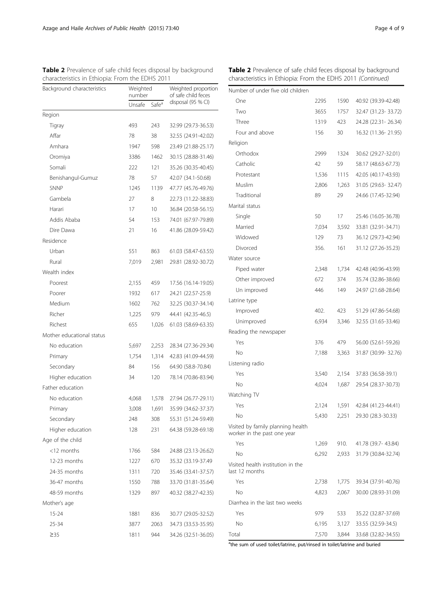<span id="page-3-0"></span>

| <b>Table 2</b> Prevalence of safe child feces disposal by background |  |
|----------------------------------------------------------------------|--|
| characteristics in Ethiopia: From the EDHS 2011                      |  |

| Background characteristics | Weighted<br>number          |       | Weighted proportion<br>of safe child feces<br>disposal (95 % CI) |  |
|----------------------------|-----------------------------|-------|------------------------------------------------------------------|--|
|                            | Safe <sup>a</sup><br>Unsafe |       |                                                                  |  |
| Region                     |                             |       |                                                                  |  |
| Tigray                     | 493                         | 243   | 32.99 (29.73-36.53)                                              |  |
| Affar                      | 78                          | 38    | 32.55 (24.91-42.02)                                              |  |
| Amhara                     | 1947                        | 598   | 23.49 (21.88-25.17)                                              |  |
| Oromiya                    | 3386                        | 1462  | 30.15 (28.88-31.46)                                              |  |
| Somali                     | 222                         | 121   | 35.26 (30.35-40.45)                                              |  |
| Benishangul-Gumuz          | 78                          | 57    | 42.07 (34.1-50.68)                                               |  |
| <b>SNNP</b>                | 1245                        | 1139  | 47.77 (45.76-49.76)                                              |  |
| Gambela                    | 27                          | 8     | 22.73 (11.22-38.83)                                              |  |
| Harari                     | 17                          | 10    | 36.84 (20.58-56.15)                                              |  |
| Addis Ababa                | 54                          | 153   | 74.01 (67.97-79.89)                                              |  |
| Dire Dawa                  | 21                          | 16    | 41.86 (28.09-59.42)                                              |  |
| Residence                  |                             |       |                                                                  |  |
| Urban                      | 551                         | 863   | 61.03 (58.47-63.55)                                              |  |
| Rural                      | 7,019                       | 2,981 | 29.81 (28.92-30.72)                                              |  |
| Wealth index               |                             |       |                                                                  |  |
| Poorest                    | 2,155                       | 459   | 17.56 (16.14-19.05)                                              |  |
| Poorer                     | 1932                        | 617   | 24.21 (22.57-25.9)                                               |  |
| Medium                     | 1602                        | 762   | 32.25 (30.37-34.14)                                              |  |
| Richer                     | 1,225                       | 979   | 44.41 (42.35-46.5)                                               |  |
| Richest                    | 655                         | 1,026 | 61.03 (58.69-63.35)                                              |  |
| Mother educational status  |                             |       |                                                                  |  |
| No education               | 5,697                       | 2,253 | 28.34 (27.36-29.34)                                              |  |
| Primary                    | 1,754                       | 1,314 | 42.83 (41.09-44.59)                                              |  |
| Secondary                  | 84                          | 156   | 64.90 (58.8-70.84)                                               |  |
| Higher education           | 34                          | 120   | 78.14 (70.86-83.94)                                              |  |
| Father education           |                             |       |                                                                  |  |
| No education               | 4,068                       | 1,578 | 27.94 (26.77-29.11)                                              |  |
| Primary                    | 3,008                       | 1,691 | 35.99 (34.62-37.37)                                              |  |
| Secondary                  | 248                         | 308   | 55.31 (51.24-59.49)                                              |  |
| Higher education           | 128                         | 231   | 64.38 (59.28-69.18)                                              |  |
| Age of the child           |                             |       |                                                                  |  |
| $<$ 12 months              | 1766                        | 584   | 24.88 (23.13-26.62)                                              |  |
| 12-23 months               | 1227                        | 670   | 35.32 (33.19-37.49                                               |  |
| 24-35 months               | 1311                        | 720   | 35.46 (33.41-37.57)                                              |  |
| 36-47 months               | 1550                        | 788   | 33.70 (31.81-35.64)                                              |  |
| 48-59 months               | 1329                        | 897   | 40.32 (38.27-42.35)                                              |  |
| Mother's age               |                             |       |                                                                  |  |
| 15-24                      | 1881                        | 836   | 30.77 (29.05-32.52)                                              |  |
| 25-34                      | 3877                        | 2063  | 34.73 (33.53-35.95)                                              |  |
| $\geq$ 35                  | 1811                        | 944   | 34.26 (32.51-36.05)                                              |  |

| <b>Table 2</b> Prevalence of safe child feces disposal by background |  |
|----------------------------------------------------------------------|--|
| characteristics in Ethiopia: From the EDHS 2011 <i>(Continued)</i>   |  |

| Number of under five old children                                |       |       |                       |
|------------------------------------------------------------------|-------|-------|-----------------------|
| One                                                              | 2295  | 1590  | 40.92 (39.39-42.48)   |
| Two                                                              | 3655  | 1757  | 32.47 (31.23-33.72)   |
| Three                                                            | 1319  | 423   | 24.28 (22.31 - 26.34) |
| Four and above                                                   | 156   | 30    | 16.32 (11.36-21.95)   |
| Religion                                                         |       |       |                       |
| Orthodox                                                         | 2999  | 1324  | 30.62 (29.27-32.01)   |
| Catholic                                                         | 42    | 59    | 58.17 (48.63-67.73)   |
| Protestant                                                       | 1,536 | 1115  | 42.05 (40.17-43.93)   |
| Muslim                                                           | 2,806 | 1,263 | 31.05 (29.63-32.47)   |
| Traditional                                                      | 89    | 29    | 24.66 (17.45-32.94)   |
| Marital status                                                   |       |       |                       |
| Single                                                           | 50    | 17    | 25.46 (16.05-36.78)   |
| Married                                                          | 7,034 | 3,592 | 33.81 (32.91-34.71)   |
| Widowed                                                          | 129   | 73    | 36.12 (29.73-42.94)   |
| Divorced                                                         | 356.  | 161   | 31.12 (27.26-35.23)   |
| Water source                                                     |       |       |                       |
| Piped water                                                      | 2,348 | 1,734 | 42.48 (40.96-43.99)   |
| Other improved                                                   | 672   | 374   | 35.74 (32.86-38.66)   |
| Un improved                                                      | 446   | 149   | 24.97 (21.68-28.64)   |
| Latrine type                                                     |       |       |                       |
| Improved                                                         | 402.  | 423   | 51.29 (47.86-54.68)   |
| Unimproved                                                       | 6,934 | 3,346 | 32.55 (31.65-33.46)   |
| Reading the newspaper                                            |       |       |                       |
| Yes                                                              | 376   | 479   | 56.00 (52.61-59.26)   |
| No                                                               | 7,188 | 3,363 | 31.87 (30.99-32.76)   |
| Listening radio                                                  |       |       |                       |
| Yes                                                              | 3,540 | 2,154 | 37.83 (36.58-39.1)    |
| No                                                               | 4,024 | 1,687 | 29.54 (28.37-30.73)   |
| Watching TV                                                      |       |       |                       |
| Yes                                                              | 2,124 | 1,591 | 42.84 (41.23-44.41)   |
| No                                                               | 5,430 | 2,251 | 29.30 (28.3-30.33)    |
| Visited by family planning health<br>worker in the past one year |       |       |                       |
| Yes                                                              | 1,269 | 910.  | 41.78 (39.7-43.84)    |
| No                                                               | 6,292 | 2,933 | 31.79 (30.84-32.74)   |
| Visited health institution in the<br>last 12 months              |       |       |                       |
| Yes                                                              | 2,738 | 1,775 | 39.34 (37.91-40.76)   |
| No                                                               | 4,823 | 2,067 | 30.00 (28.93-31.09)   |
| Diarrhea in the last two weeks                                   |       |       |                       |
| Yes                                                              | 979   | 533   | 35.22 (32.87-37.69)   |
| No                                                               | 6,195 | 3,127 | 33.55 (32.59-34.5)    |
| Total                                                            | 7,570 | 3,844 | 33.68 (32.82-34.55)   |

the sum of used toilet/latrine, put/rinsed in toilet/latrine and buried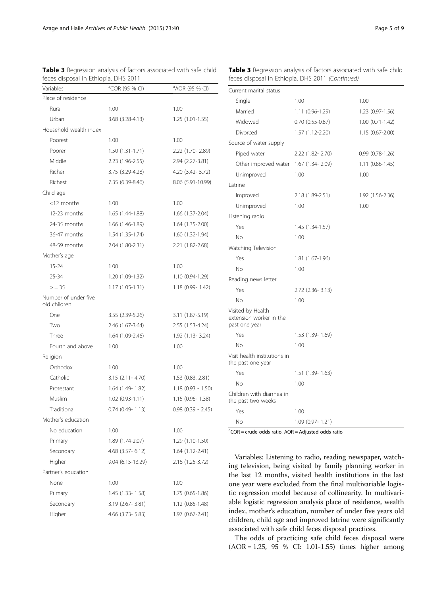| Variables                            | <sup>a</sup> COR (95 % CI)             | <sup>a</sup> AOR (95 % CI) |
|--------------------------------------|----------------------------------------|----------------------------|
| Place of residence                   |                                        |                            |
| Rural                                | 1.00                                   | 1.00                       |
| Urban                                | 3.68 (3.28-4.13)                       | $1.25(1.01-1.55)$          |
| Household wealth index               |                                        |                            |
| Poorest                              | 1.00                                   | 1.00                       |
| Poorer                               | $1.50(1.31-1.71)$                      | 2.22 (1.70 - 2.89)         |
| Middle                               | 2.23 (1.96-2.55)                       | 2.94 (2.27-3.81)           |
| Richer                               | 3.75 (3.29-4.28)                       | 4.20 (3.42- 5.72)          |
| Richest                              | 7.35 (6.39-8.46)                       | 8.06 (5.91-10.99)          |
| Child age                            |                                        |                            |
| $<$ 12 months                        | 1.00                                   | 1.00                       |
| 12-23 months                         | 1.65 (1.44-1.88)                       | 1.66 (1.37-2.04)           |
| 24-35 months                         | 1.66 (1.46-1.89)                       | 1.64 (1.35-2.00)           |
| 36-47 months                         | 1.54 (1.35-1.74)                       | 1.60 (1.32-1.94)           |
| 48-59 months                         | 2.04 (1.80-2.31)                       | 2.21 (1.82-2.68)           |
| Mother's age                         |                                        |                            |
| $15 - 24$                            | 1.00                                   | 1.00                       |
| 25-34                                | 1.20 (1.09-1.32)                       | 1.10 (0.94-1.29)           |
| $>$ = 35                             | 1.17 (1.05-1.31)                       | $1.18(0.99 - 1.42)$        |
| Number of under five<br>old children |                                        |                            |
| One                                  | 3.55 (2.39-5.26)                       | 3.11 (1.87-5.19)           |
| Two                                  | 2.46 (1.67-3.64)                       | 2.55 (1.53-4.24)           |
| Three                                | 1.64 (1.09-2.46)                       | $1.92(1.13 - 3.24)$        |
| Fourth and above                     | 1.00                                   | 1.00                       |
| Religion                             |                                        |                            |
| Orthodox                             | 1.00                                   | 1.00                       |
| Catholic                             | $3.15$ (2.11 - 4.70)                   | 1.53 (0.83, 2.81)          |
| Protestant                           | 1.64 (1.49-1.82)                       | $1.18(0.93 - 1.50)$        |
| Muslim                               | $1.02(0.93 - 1.11)$                    | $1.15(0.96 - 1.38)$        |
| Traditional                          | $0.74$ $(0.49 - 1.13)$                 | $0.98$ $(0.39 - 2.45)$     |
| Mother's education                   |                                        |                            |
| No education                         | 1.00                                   | 1.00                       |
| Primary                              | 1.89 (1.74-2.07)                       | 1.29 (1.10-1.50)           |
| Secondary                            | $4.68$ (3.57-6.12)<br>1.64 (1.12-2.41) |                            |
| Higher                               | 9.04 (6.15-13.29)                      | 2.16 (1.25-3.72)           |
| Partner's education                  |                                        |                            |
| None                                 | 1.00                                   | 1.00                       |
| Primary                              | 1.45 (1.33-1.58)                       | 1.75 (0.65-1.86)           |
| Secondary                            | 3.19 (2.67-3.81)                       | 1.12 (0.85-1.48)           |
| Higher                               | 4.66 (3.73-5.83)                       | 1.97 (0.67-2.41)           |

<span id="page-4-0"></span>Table 3 Regression analysis of factors associated with safe child feces disposal in Ethiopia, DHS 2011

|  |  |  | <b>Table 3</b> Regression analysis of factors associated with safe child |  |  |
|--|--|--|--------------------------------------------------------------------------|--|--|
|  |  |  | feces disposal in Ethiopia, DHS 2011 <i>(Continued)</i>                  |  |  |

| Current marital status                                        |                     |                     |
|---------------------------------------------------------------|---------------------|---------------------|
| Single                                                        | 1.00                | 1.00                |
| Married                                                       | 1.11 (0.96-1.29)    | 1.23 (0.97-1.56)    |
| Widowed                                                       | $0.70(0.55-0.87)$   | $1.00(0.71 - 1.42)$ |
| Divorced                                                      | 1.57 (1.12-2.20)    | $1.15(0.67 - 2.00)$ |
| Source of water supply                                        |                     |                     |
| Piped water                                                   | 2.22 (1.82-2.70)    | $0.99(0.78-1.26)$   |
| Other improved water                                          | $1.67$ (1.34- 2.09) | $1.11(0.86-1.45)$   |
| Unimproved                                                    | 1.00                | 1.00                |
| Latrine                                                       |                     |                     |
| Improved                                                      | 2.18 (1.89-2.51)    | 1.92 (1.56-2.36)    |
| Unimproved                                                    | 1.00                | 1.00                |
| Listening radio                                               |                     |                     |
| Yes                                                           | $1.45(1.34-1.57)$   |                     |
| No                                                            | 1.00                |                     |
| Watching Television                                           |                     |                     |
| Yes                                                           | 1.81 (1.67-1.96)    |                     |
| No                                                            | 1.00                |                     |
| Reading news letter                                           |                     |                     |
| Yes                                                           | 2.72 (2.36-3.13)    |                     |
| No                                                            | 1.00                |                     |
| Visited by Health<br>extension worker in the<br>past one year |                     |                     |
| Yes                                                           | 1.53 (1.39-1.69)    |                     |
| No                                                            | 1.00                |                     |
| Visit health institutions in<br>the past one year             |                     |                     |
| Yes                                                           | 1.51 (1.39-1.63)    |                     |
| No                                                            | 1.00                |                     |
| Children with diarrhea in<br>the past two weeks               |                     |                     |
| Yes                                                           | 1.00                |                     |
| No                                                            | 1.09 (0.97- 1.21)   |                     |

 ${}^{a}COR =$  crude odds ratio,  $AOR =$  Adjusted odds ratio

Variables: Listening to radio, reading newspaper, watching television, being visited by family planning worker in the last 12 months, visited health institutions in the last one year were excluded from the final multivariable logistic regression model because of collinearity. In multivariable logistic regression analysis place of residence, wealth index, mother's education, number of under five years old children, child age and improved latrine were significantly associated with safe child feces disposal practices.

The odds of practicing safe child feces disposal were (AOR = 1.25, 95 % CI: 1.01-1.55) times higher among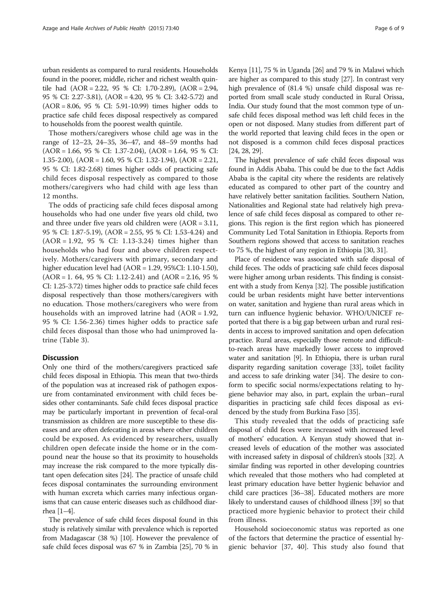urban residents as compared to rural residents. Households found in the poorer, middle, richer and richest wealth quintile had (AOR = 2.22, 95 % CI: 1.70-2.89), (AOR = 2.94, 95 % CI: 2.27-3.81), (AOR = 4.20, 95 % CI: 3.42-5.72) and (AOR = 8.06, 95 % CI: 5.91-10.99) times higher odds to practice safe child feces disposal respectively as compared to households from the poorest wealth quintile.

Those mothers/caregivers whose child age was in the range of 12–23, 24–35, 36–47, and 48–59 months had (AOR = 1.66, 95 % CI: 1.37-2.04), (AOR = 1.64, 95 % CI: 1.35-2.00), (AOR = 1.60, 95 % CI: 1.32-1.94), (AOR = 2.21, 95 % CI: 1.82-2.68) times higher odds of practicing safe child feces disposal respectively as compared to those mothers/caregivers who had child with age less than 12 months.

The odds of practicing safe child feces disposal among households who had one under five years old child, two and three under five years old children were (AOR = 3.11, 95 % CI: 1.87-5.19), (AOR = 2.55, 95 % CI: 1.53-4.24) and (AOR = 1.92, 95 % CI: 1.13-3.24) times higher than households who had four and above children respectively. Mothers/caregivers with primary, secondary and higher education level had (AOR = 1.29, 95%CI: 1.10-1.50),  $(AOR = 1.64, 95 % CI: 1.12-2.41)$  and  $(AOR = 2.16, 95 %$ CI: 1.25-3.72) times higher odds to practice safe child feces disposal respectively than those mothers/caregivers with no education. Those mothers/caregivers who were from households with an improved latrine had  $(AOR = 1.92,$ 95 % CI: 1.56-2.36) times higher odds to practice safe child feces disposal than those who had unimproved latrine (Table [3](#page-4-0)).

# **Discussion**

Only one third of the mothers/caregivers practiced safe child feces disposal in Ethiopia. This mean that two-thirds of the population was at increased risk of pathogen exposure from contaminated environment with child feces besides other contaminants. Safe child feces disposal practice may be particularly important in prevention of fecal-oral transmission as children are more susceptible to these diseases and are often defecating in areas where other children could be exposed. As evidenced by researchers, usually children open defecate inside the home or in the compound near the house so that its proximity to households may increase the risk compared to the more typically distant open defecation sites [\[24\]](#page-7-0). The practice of unsafe child feces disposal contaminates the surrounding environment with human excreta which carries many infectious organisms that can cause enteric diseases such as childhood diarrhea [\[1](#page-6-0)–[4\]](#page-7-0).

The prevalence of safe child feces disposal found in this study is relatively similar with prevalence which is reported from Madagascar (38 %) [\[10\]](#page-7-0). However the prevalence of safe child feces disposal was 67 % in Zambia [\[25\]](#page-7-0), 70 % in

Kenya [[11](#page-7-0)], 75 % in Uganda [\[26\]](#page-7-0) and 79 % in Malawi which are higher as compared to this study [[27](#page-7-0)]. In contrast very high prevalence of (81.4 %) unsafe child disposal was reported from small scale study conducted in Rural Orissa, India. Our study found that the most common type of unsafe child feces disposal method was left child feces in the open or not disposed. Many studies from different part of the world reported that leaving child feces in the open or not disposed is a common child feces disposal practices [[24](#page-7-0), [28](#page-7-0), [29\]](#page-7-0).

The highest prevalence of safe child feces disposal was found in Addis Ababa. This could be due to the fact Addis Ababa is the capital city where the residents are relatively educated as compared to other part of the country and have relatively better sanitation facilities. Southern Nation, Nationalities and Regional state had relatively high prevalence of safe child feces disposal as compared to other regions. This region is the first region which has pioneered Community Led Total Sanitation in Ethiopia. Reports from Southern regions showed that access to sanitation reaches to 75 %, the highest of any region in Ethiopia [[30](#page-7-0), [31](#page-7-0)].

Place of residence was associated with safe disposal of child feces. The odds of practicing safe child feces disposal were higher among urban residents. This finding is consistent with a study from Kenya [\[32](#page-7-0)]. The possible justification could be urban residents might have better interventions on water, sanitation and hygiene than rural areas which in turn can influence hygienic behavior. WHO/UNICEF reported that there is a big gap between urban and rural residents in access to improved sanitation and open defecation practice. Rural areas, especially those remote and difficultto-reach areas have markedly lower access to improved water and sanitation [\[9\]](#page-7-0). In Ethiopia, there is urban rural disparity regarding sanitation coverage [\[33\]](#page-7-0), toilet facility and access to safe drinking water [\[34\]](#page-7-0). The desire to conform to specific social norms/expectations relating to hygiene behavior may also, in part, explain the urban–rural disparities in practicing safe child feces disposal as evidenced by the study from Burkina Faso [\[35\]](#page-7-0).

This study revealed that the odds of practicing safe disposal of child feces were increased with increased level of mothers' education. A Kenyan study showed that increased levels of education of the mother was associated with increased safety in disposal of children's stools [\[32\]](#page-7-0). A similar finding was reported in other developing countries which revealed that those mothers who had completed at least primary education have better hygienic behavior and child care practices [\[36](#page-7-0)–[38](#page-7-0)]. Educated mothers are more likely to understand causes of childhood illness [\[39\]](#page-7-0) so that practiced more hygienic behavior to protect their child from illness.

Household socioeconomic status was reported as one of the factors that determine the practice of essential hygienic behavior [\[37](#page-7-0), [40\]](#page-7-0). This study also found that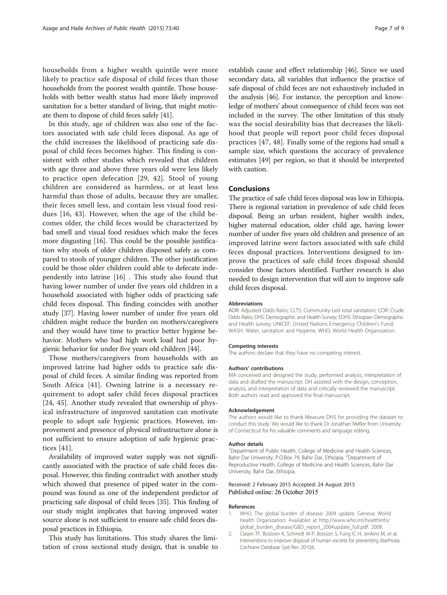<span id="page-6-0"></span>households from a higher wealth quintile were more likely to practice safe disposal of child feces than those households from the poorest wealth quintile. Those households with better wealth status had more likely improved sanitation for a better standard of living, that might motivate them to dispose of child feces safely [[41](#page-7-0)].

In this study, age of children was also one of the factors associated with safe child feces disposal. As age of the child increases the likelihood of practicing safe disposal of child feces becomes higher. This finding is consistent with other studies which revealed that children with age three and above three years old were less likely to practice open defecation [\[29](#page-7-0), [42](#page-7-0)]. Stool of young children are considered as harmless, or at least less harmful than those of adults, because they are smaller, their feces smell less, and contain less visual food residues [[16](#page-7-0), [43](#page-7-0)]. However, when the age of the child becomes older, the child feces would be characterized by bad smell and visual food residues which make the feces more disgusting [[16](#page-7-0)]. This could be the possible justification why stools of older children disposed safely as compared to stools of younger children. The other justification could be those older children could able to defecate independently into latrine [\[16\]](#page-7-0) . This study also found that having lower number of under five years old children in a household associated with higher odds of practicing safe child feces disposal. This finding coincides with another study [\[37\]](#page-7-0). Having lower number of under five years old children might reduce the burden on mothers/caregivers and they would have time to practice better hygiene behavior. Mothers who had high work load had poor hygienic behavior for under five years old children [\[44\]](#page-7-0).

Those mothers/caregivers from households with an improved latrine had higher odds to practice safe disposal of child feces. A similar finding was reported from South Africa [\[41](#page-7-0)]. Owning latrine is a necessary requirement to adopt safer child feces disposal practices [[24, 45\]](#page-7-0). Another study revealed that ownership of physical infrastructure of improved sanitation can motivate people to adopt safe hygienic practices. However, improvement and presence of physical infrastructure alone is not sufficient to ensure adoption of safe hygienic practices [[41\]](#page-7-0).

Availability of improved water supply was not significantly associated with the practice of safe child feces disposal. However, this finding contradict with another study which showed that presence of piped water in the compound was found as one of the independent predictor of practicing safe disposal of child feces [\[35](#page-7-0)]. This finding of our study might implicates that having improved water source alone is not sufficient to ensure safe child feces disposal practices in Ethiopia.

This study has limitations. This study shares the limitation of cross sectional study design, that is unable to

establish cause and effect relationship [\[46](#page-7-0)]. Since we used secondary data, all variables that influence the practice of safe disposal of child feces are not exhaustively included in the analysis [\[46\]](#page-7-0). For instance, the perception and knowledge of mothers' about consequence of child feces was not included in the survey. The other limitation of this study was the social desirability bias that decreases the likelihood that people will report poor child feces disposal practices [\[47, 48\]](#page-8-0). Finally some of the regions had small a sample size, which questions the accuracy of prevalence estimates [\[49\]](#page-8-0) per region, so that it should be interpreted with caution.

# Conclusions

The practice of safe child feces disposal was low in Ethiopia. There is regional variation in prevalence of safe child feces disposal. Being an urban resident, higher wealth index, higher maternal education, older child age, having lower number of under five years old children and presence of an improved latrine were factors associated with safe child feces disposal practices. Interventions designed to improve the practices of safe child feces disposal should consider those factors identified. Further research is also needed to design intervention that will aim to improve safe child feces disposal.

### Abbreviations

AOR: Adjusted Odds Ratio; CLTS: Community-Led total sanitation; COR: Crude Odds Ratio; DHS: Demographic and Health Survey; EDHS: Ethiopian Demographic and Health survey; UNICEF: United Nations Emergency Children's Fund; WASH: Water, sanitation and Hygiene, WHO, World Health Organization.

#### Competing interests

The authors declare that they have no competing interest.

#### Authors' contributions

MA conceived and designed the study, performed analysis, interpretation of data and drafted the manuscript. DH assisted with the design, conception, analysis, and interpretation of data and critically reviewed the manuscript. Both authors read and approved the final manuscript.

#### Acknowledgement

The authors would like to thank Measure DHS for providing the dataset to conduct this study. We would like to thank Dr Jonathan Mellor from University of Connecticut for his valuable comments and language editing.

#### Author details

<sup>1</sup>Department of Public Health, College of Medicine and Health Sciences, Bahir Dar University, P.O.Box 79, Bahir Dar, Ethiopia. <sup>2</sup>Department of Reproductive Health, College of Medicine and Health Sciences, Bahir Dar University, Bahir Dar, Ethiopia.

### Received: 2 February 2015 Accepted: 24 August 2015 Published online: 26 October 2015

#### References

- 1. WHO. The global burden of disease: 2004 update. Geneva: World Health Organization: Availablet at [http://www.who.int/healthinfo/](http://www.who.int/healthinfo/global_burden_disease/GBD_report_2004update_full.pdf) [global\\_burden\\_disease/GBD\\_report\\_2004update\\_full.pdf.](http://www.who.int/healthinfo/global_burden_disease/GBD_report_2004update_full.pdf) 2008.
- 2. Clasen TF, Bostoen K, Schmidt W-P, Boisson S, Fung IC-H, Jenkins M, et al. Interventions to improve disposal of human excreta for preventing diarrhoea. Cochrane Database Syst Rev. 2010;6.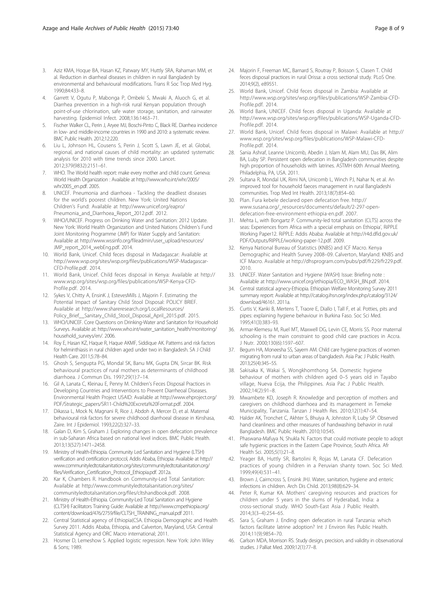- <span id="page-7-0"></span>3. Aziz KMA, Hoque BA, Hasan KZ, Patwary MY, Huttly SRA, Rahaman MM, et al. Reduction in diarrheal diseases in children in rural Bangladesh by environmental and behavioural modifications. Trans R Soc Trop Med Hyg. 1990;84:433–8.
- 4. Garrett V, Ogutu P, Mabonga P, Ombeki S, Mwaki A, Aluoch G, et al. Diarrhea prevention in a high-risk rural Kenyan population through point-of-use chlorination, safe water storage, sanitation, and rainwater harvesting. Epidemiol Infect. 2008;136:1463–71.
- 5. Fischer Walker CL, Perin J, Aryee MJ, Boschi-Pinto C, Black RE. Diarrhea incidence in low- and middle-income countries in 1990 and 2010: a systematic review. BMC Public Health. 2012;12:220.
- 6. Liu L, Johnson HL, Cousens S, Perin J, Scott S, Lawn JE, et al. Global, regional, and national causes of child mortality: an updated systematic analysis for 2010 with time trends since 2000. Lancet. 2012;379(9832):2151–61.
- 7. WHO. The World health report: make every mother and child count. Geneva: World Health Organization : Available at [http://www.who.int/whr/2005/](http://www.who.int/whr/2005/whr2005_en.pdf) [whr2005\\_en.pdf.](http://www.who.int/whr/2005/whr2005_en.pdf) 2005.
- 8. UNICEF. Pneumonia and diarrhoea Tackling the deadliest diseases for the world's poorest children. New York: United Nations Children's Fund: Available at [http://www.unicef.org/eapro/](http://www.unicef.org/eapro/Pneumonia_and_Diarrhoea_Report_2012.pdf) [Pneumonia\\_and\\_Diarrhoea\\_Report\\_2012.pdf.](http://www.unicef.org/eapro/Pneumonia_and_Diarrhoea_Report_2012.pdf) 2012.
- WHO/UNICEF. Progress on Drinking Water and Sanitation: 2012 Update. New York: World Health Organization and United Nations Children's Fund Joint Monitoring Programme (JMP) for Water Supply and Sanitation: Available at [http://www.wssinfo.org/fileadmin/user\\_upload/resources/](http://www.wssinfo.org/fileadmin/user_upload/resources/JMP_report_2014_webEng.pdf) [JMP\\_report\\_2014\\_webEng.pdf.](http://www.wssinfo.org/fileadmin/user_upload/resources/JMP_report_2014_webEng.pdf) 2014.
- 10. World Bank, Unicef. Child feces disposal in Madagascar: Available at [http://www.wsp.org/sites/wsp.org/files/publications/WSP-Madagascar-](http://www.wsp.org/sites/wsp.org/files/publications/WSP-Madagascar-CFD-Profile.pdf)[CFD-Profile.pdf](http://www.wsp.org/sites/wsp.org/files/publications/WSP-Madagascar-CFD-Profile.pdf). 2014.
- 11. World Bank, Unicef. Child feces disposal in Kenya: Available at [http://](http://www.wsp.org/sites/wsp.org/files/publications/WSP-Kenya-CFD-Profile.pdf) [www.wsp.org/sites/wsp.org/files/publications/WSP-Kenya-CFD-](http://www.wsp.org/sites/wsp.org/files/publications/WSP-Kenya-CFD-Profile.pdf)[Profile.pdf](http://www.wsp.org/sites/wsp.org/files/publications/WSP-Kenya-CFD-Profile.pdf). 2014.
- 12. Sykes V, Chitty A, EnsinK J, EstevesMills J, Majorin F. Estimating the Potential Impact of Sanitary Child Stool Disposal: POLICY BRIEF. Available at [http://www.shareresearch.org/LocalResources/](http://www.shareresearch.org/LocalResources/Policy_Brief__Sanitary_Child_Stool_Disposal_April_2015.pdf) [Policy\\_Brief\\_\\_Sanitary\\_Child\\_Stool\\_Disposal\\_April\\_2015.pdf.](http://www.shareresearch.org/LocalResources/Policy_Brief__Sanitary_Child_Stool_Disposal_April_2015.pdf) 2015.
- 13. WHO/UNICEF. Core Questions on Drinking-Water and Sanitation for Household Surveys. Available at: [http://www.who.int/water\\_sanitation\\_health/monitoring/](http://www.who.int/water_sanitation_health/monitoring/household_surveys/en/) [household\\_surveys/en/](http://www.who.int/water_sanitation_health/monitoring/household_surveys/en/). 2006.
- 14. Roy E, Hasan KZ, Haque R, Haque AKMF, Siddique AK. Patterns and risk factors for helminthiasis in rural children aged under two in Bangladesh. SA J Child Health Care. 2011;5:78–84.
- 15. Ghosh S, Sengupta PG, Mondal SK, Banu MK, Gupta DN, Sircar BK. Risk behavioural practices of rural mothers as determinants of childhood diarrhoea. J Commun Dis. 1997;29(1):7–14.
- 16. Gil A, Lanata C, Kleinau E, Penny M. Children's Feces Disposal Practices in Developing Countries and Interventions to Prevent Diarrheoal Diseases. Environmental Health Project USAID: Available at [http://www.ehproject.org/](http://www.ehproject.org/PDF/Strategic_papers/SR11-Child%20Excreta%20Format.pdf) [PDF/Strategic\\_papers/SR11-Child%20Excreta%20Format.pdf.](http://www.ehproject.org/PDF/Strategic_papers/SR11-Child%20Excreta%20Format.pdf) 2004.
- 17. Dikassa L, Mock N, Magnani R, Rice J, Abdoh A, Mercer D, et al. Maternal behavioural risk factors for severe childhood diarrhoeal disease in Kinshasa, Zaire. Int J Epidemiol. 1993;22(2):327–33.
- 18. Galan D, Kim S, Graham J. Exploring changes in open defecation prevalence in sub-Saharan Africa based on national level indices. BMC Public Health. 2013;13(527):1471–2458.
- 19. Ministry of Health-Ethiopia. Community Led Sanitation and Hygiene (LTSH) verification and certification protocol, Addis Ababa, Ethiopia: Available at [http://](http://www.communityledtotalsanitation.org/sites/communityledtotalsanitation.org/files/Verification_Certification_Protocol_Ethiopia.pdf) [www.communityledtotalsanitation.org/sites/communityledtotalsanitation.org/](http://www.communityledtotalsanitation.org/sites/communityledtotalsanitation.org/files/Verification_Certification_Protocol_Ethiopia.pdf) [files/Verification\\_Certification\\_Protocol\\_Ethiopia.pdf](http://www.communityledtotalsanitation.org/sites/communityledtotalsanitation.org/files/Verification_Certification_Protocol_Ethiopia.pdf). 2012a.
- 20. Kar K, Chambers R. Handbook on Community-Led Total Sanitation: Available at [http://www.communityledtotalsanitation.org/sites/](http://www.communityledtotalsanitation.org/sites/communityledtotalsanitation.org/files/cltshandbook.pdf) [communityledtotalsanitation.org/files/cltshandbook.pdf](http://www.communityledtotalsanitation.org/sites/communityledtotalsanitation.org/files/cltshandbook.pdf). 2008.
- 21. Ministry of Health-Ethiopia. Community-Led Total Sanitation and Hygiene (CLTSH) Facilitators Training Guide: Available at [http://www.cmpethiopia.org/](http://www.cmpethiopia.org/content/download/476/2759/file/CLTSH_TRAINING_manual.pdf) [content/download/476/2759/file/CLTSH\\_TRAINING\\_manual.pdf](http://www.cmpethiopia.org/content/download/476/2759/file/CLTSH_TRAINING_manual.pdf) 2011.
- 22. Central Statistical agency of Ethiopia(CSA. Ethiopia Demographic and Health Survey 2011. Addis Ababa, Ethiopia, and Calverton, Maryland, USA: Central Statistical Agency and ORC Macro international; 2011.
- 23. Hosmer D, Lemeshow S. Applied logistic regression. New York: John Wiley & Sons; 1989.
- 24. Majorin F, Freeman MC, Barnard S, Routray P, Boisson S, Clasen T. Child feces disposal practices in rural Orissa: a cross sectional study. PLoS One. 2014;9(2), e89551.
- 25. World Bank, Unicef. Child feces disposal in Zambia: Available at [http://www.wsp.org/sites/wsp.org/files/publications/WSP-Zambia-CFD-](http://www.wsp.org/sites/wsp.org/files/publications/WSP-Zambia-CFD-Profile.pdf)[Profile.pdf](http://www.wsp.org/sites/wsp.org/files/publications/WSP-Zambia-CFD-Profile.pdf). 2014.
- 26. World Bank, UNICEF. Child feces disposal in Uganda: Available at [http://www.wsp.org/sites/wsp.org/files/publications/WSP-Uganda-CFD-](http://www.wsp.org/sites/wsp.org/files/publications/WSP-Uganda-CFD-Profile.pdf)[Profile.pdf](http://www.wsp.org/sites/wsp.org/files/publications/WSP-Uganda-CFD-Profile.pdf). 2014.
- 27. World Bank, Unicef. Child feces disposal in Malawi: Available at [http://](http://www.wsp.org/sites/wsp.org/files/publications/WSP-Malawi-CFD-Profile.pdf) [www.wsp.org/sites/wsp.org/files/publications/WSP-Malawi-CFD-](http://www.wsp.org/sites/wsp.org/files/publications/WSP-Malawi-CFD-Profile.pdf)[Profile.pdf](http://www.wsp.org/sites/wsp.org/files/publications/WSP-Malawi-CFD-Profile.pdf). 2014.
- 28. Sania Ashraf, Leanne Unicomb, Abedin J, Islam M, Alam MU, Das BK, Alim BA, Luby SP. Persistent open defecation in Bangladesh communities despite high proportion of households with latrines. ASTMH 60th Annual Meeting, Philadelphia, PA, USA. 2011.
- 29. Sultana R, Mondal UK, Rimi NA, Unicomb L, Winch PJ, Nahar N, et al. An improved tool for household faeces management in rural Bangladeshi communities. Trop Med Int Health. 2013;18(7):854–60.
- 30. Plan. Fura kebele declared open defecation free. [http://](http://www.susana.org/_resources/documents/default/2-297-open-defecation-free-environment-ethiopia-en.pdf) [www.susana.org/\\_resources/documents/default/2-297-open](http://www.susana.org/_resources/documents/default/2-297-open-defecation-free-environment-ethiopia-en.pdf)[defecation-free-environment-ethiopia-en.pdf](http://www.susana.org/_resources/documents/default/2-297-open-defecation-free-environment-ethiopia-en.pdf). 2007.
- 31. Mehta L, with Bongartz P. Community-led total sanitation (CLTS) across the seas: Experiences from Africa with a special emphasis on Ethiopia', RiPPLE Working Paper12. RiPPLE: Addis Ababa: Available at [http://r4d.dfid.gov.uk/](http://r4d.dfid.gov.uk/PDF/Outputs/RIPPLE/working-paper-12.pdf) [PDF/Outputs/RIPPLE/working-paper-12.pdf](http://r4d.dfid.gov.uk/PDF/Outputs/RIPPLE/working-paper-12.pdf). 2009.
- 32. Kenya National Bureau of Statistics (KNBS) and ICF Macro. Kenya Demographic and Health Survey 2008–09. Calverton, Maryland: KNBS and ICF Macro. Available at [http://dhsprogram.com/pubs/pdf/fr229/fr229.pdf.](http://dhsprogram.com/pubs/pdf/fr229/fr229.pdf) 2010.
- 33. UNICEF. Water Sanitation and Hygiene (WASH) Issue: Briefing note : Available at [http://www.unicef.org/ethiopia/ECO\\_WASH\\_BN.pdf](http://www.unicef.org/ethiopia/ECO_WASH_BN.pdf). 2014.
- 34. Central statistical agnecy-Ethiopia. Ethiopian Welfare Monitoring Survey 2011 summary report: Available at [http://catalog.ihsn.org/index.php/catalog/3124/](http://catalog.ihsn.org/index.php/catalog/3124/download/46161) [download/46161](http://catalog.ihsn.org/index.php/catalog/3124/download/46161). 2011a.
- 35. Curtis V, Kanki B, Mertens T, Traore E, Diallo I, Tall F, et al. Potties, pits and pipes: explaining hygiene behaviour in Burkina Faso. Soc Sci Med. 1995;41(3):383–93.
- 36. Armar-Klemesu M, Ruel MT, Maxwell DG, Levin CE, Morris SS. Poor maternal schooling is the main constraint to good child care practices in Accra. J Nutr. 2000;130(6):1597–607.
- 37. Begum HA, Moneesha SS, Sayem AM. Child care hygiene practices of women migrating from rural to urban areas of bangladesh. Asia Pac J Public Health. 2013;25(4):345–55.
- 38. Sakisaka K, Wakai S, Wongkhomthong SA. Domestic hygiene behaviour of mothers with children aged 0–5 years old in Tayabo village, Nueva Ecija, the Philippines. Asia Pac J Public Health. 2002;14(2):91–8.
- 39. Mwambete KD, Joseph R. Knowledge and perception of mothers and caregivers on childhood diarrhoea and its management in Temeke Municipality, Tanzania. Tanzan J Health Res. 2010;12(1):47–54.
- 40. Halder AK, Tronchet C, Akhter S, Bhuiya A, Johnston R, Luby SP. Observed hand cleanliness and other measures of handwashing behavior in rural Bangladesh. BMC Public Health. 2010;10:545.
- 41. Phaswana-Mafuya N, Shukla N. Factors that could motivate people to adopt safe hygienic practices in the Eastern Cape Province, South Africa. Afr Health Sci. 2005;5(1):21–8.
- 42. Yeager BA, Huttly SR, Bartolini R, Rojas M, Lanata CF. Defecation practices of young children in a Peruvian shanty town. Soc Sci Med. 1999;49(4):531–41.
- 43. Brown J, Cairncross S, Ensink JHJ. Water, sanitation, hygiene and enteric infections in children. Arch Dis Child. 2013;98(8):629–34.
- 44. Peter R, Kumar KA. Mothers' caregiving resources and practices for children under 5 years in the slums of Hyderabad, India: a cross-sectional study. WHO South-East Asia J Public Health. 2014;3(3–4):254–65.
- 45. Sara S, Graham J. Ending open defecation in rural Tanzania: which factors facilitate latrine adoption? Int J Environ Res Public Health. 2014;11(9):9854–70.
- 46. Carlson MDA, Morrison RS. Study design, precision, and validity in observational studies. J Palliat Med. 2009;12(1):77–8.